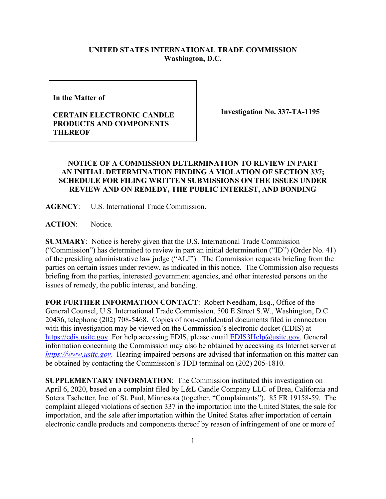## **UNITED STATES INTERNATIONAL TRADE COMMISSION Washington, D.C.**

**In the Matter of** 

## **CERTAIN ELECTRONIC CANDLE PRODUCTS AND COMPONENTS THEREOF**

**Investigation No. 337-TA-1195**

## **NOTICE OF A COMMISSION DETERMINATION TO REVIEW IN PART AN INITIAL DETERMINATION FINDING A VIOLATION OF SECTION 337; SCHEDULE FOR FILING WRITTEN SUBMISSIONS ON THE ISSUES UNDER REVIEW AND ON REMEDY, THE PUBLIC INTEREST, AND BONDING**

**AGENCY**: U.S. International Trade Commission.

ACTION: Notice.

**SUMMARY**: Notice is hereby given that the U.S. International Trade Commission ("Commission") has determined to review in part an initial determination ("ID") (Order No. 41) of the presiding administrative law judge ("ALJ"). The Commission requests briefing from the parties on certain issues under review, as indicated in this notice. The Commission also requests briefing from the parties, interested government agencies, and other interested persons on the issues of remedy, the public interest, and bonding.

**FOR FURTHER INFORMATION CONTACT**: Robert Needham, Esq., Office of the General Counsel, U.S. International Trade Commission, 500 E Street S.W., Washington, D.C. 20436, telephone (202) 708-5468. Copies of non-confidential documents filed in connection with this investigation may be viewed on the Commission's electronic docket (EDIS) at [https://edis.usitc.gov.](https://edis.usitc.gov/) For help accessing EDIS, please email [EDIS3Help@usitc.gov.](mailto:EDIS3Help@usitc.gov) General information concerning the Commission may also be obtained by accessing its Internet server at *[https://www.usitc.gov](https://www.usitc.gov/)*. Hearing-impaired persons are advised that information on this matter can be obtained by contacting the Commission's TDD terminal on (202) 205-1810.

**SUPPLEMENTARY INFORMATION**: The Commission instituted this investigation on April 6, 2020, based on a complaint filed by L&L Candle Company LLC of Brea, California and Sotera Tschetter, Inc. of St. Paul, Minnesota (together, "Complainants"). 85 FR 19158-59. The complaint alleged violations of section 337 in the importation into the United States, the sale for importation, and the sale after importation within the United States after importation of certain electronic candle products and components thereof by reason of infringement of one or more of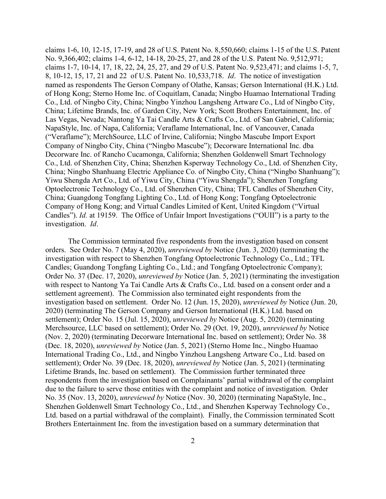claims 1-6, 10, 12-15, 17-19, and 28 of U.S. Patent No. 8,550,660; claims 1-15 of the U.S. Patent No. 9,366,402; claims 1-4, 6-12, 14-18, 20-25, 27, and 28 of the U.S. Patent No. 9,512,971; claims 1-7, 10-14, 17, 18, 22, 24, 25, 27, and 29 of U.S. Patent No. 9,523,471; and claims 1-5, 7, 8, 10-12, 15, 17, 21 and 22 of U.S. Patent No. 10,533,718. *Id*. The notice of investigation named as respondents The Gerson Company of Olathe, Kansas; Gerson International (H.K.) Ltd. of Hong Kong; Sterno Home Inc. of Coquitlam, Canada; Ningbo Huamao International Trading Co., Ltd. of Ningbo City, China; Ningbo Yinzhou Langsheng Artware Co., Ltd of Ningbo City, China; Lifetime Brands, Inc. of Garden City, New York; Scott Brothers Entertainment, Inc. of Las Vegas, Nevada; Nantong Ya Tai Candle Arts & Crafts Co., Ltd. of San Gabriel, California; NapaStyle, Inc. of Napa, California; Veraflame International, Inc. of Vancouver, Canada ("Veraflame"); MerchSource, LLC of Irvine, California; Ningbo Mascube Import Export Company of Ningbo City, China ("Ningbo Mascube"); Decorware International Inc. dba Decorware Inc. of Rancho Cucamonga, California; Shenzhen Goldenwell Smart Technology Co., Ltd. of Shenzhen City, China; Shenzhen Ksperway Technology Co., Ltd. of Shenzhen City, China; Ningbo Shanhuang Electric Appliance Co. of Ningbo City, China ("Ningbo Shanhuang"); Yiwu Shengda Art Co., Ltd. of Yiwu City, China ("Yiwu Shengda"); Shenzhen Tongfang Optoelectronic Technology Co., Ltd. of Shenzhen City, China; TFL Candles of Shenzhen City, China; Guangdong Tongfang Lighting Co., Ltd. of Hong Kong; Tongfang Optoelectronic Company of Hong Kong; and Virtual Candles Limited of Kent, United Kingdom ("Virtual Candles"). *Id.* at 19159. The Office of Unfair Import Investigations ("OUII") is a party to the investigation. *Id*.

The Commission terminated five respondents from the investigation based on consent orders. See Order No. 7 (May 4, 2020), *unreviewed by* Notice (Jun. 3, 2020) (terminating the investigation with respect to Shenzhen Tongfang Optoelectronic Technology Co., Ltd.; TFL Candles; Guandong Tongfang Lighting Co., Ltd.; and Tongfang Optoelectronic Company); Order No. 37 (Dec. 17, 2020), *unreviewed by* Notice (Jan. 5, 2021) (terminating the investigation with respect to Nantong Ya Tai Candle Arts & Crafts Co., Ltd. based on a consent order and a settlement agreement). The Commission also terminated eight respondents from the investigation based on settlement. Order No. 12 (Jun. 15, 2020), *unreviewed by* Notice (Jun. 20, 2020) (terminating The Gerson Company and Gerson International (H.K.) Ltd. based on settlement); Order No. 15 (Jul. 15, 2020), *unreviewed by* Notice (Aug. 5, 2020) (terminating Merchsource, LLC based on settlement); Order No. 29 (Oct. 19, 2020), *unreviewed by* Notice (Nov. 2, 2020) (terminating Decorware International Inc. based on settlement); Order No. 38 (Dec. 18, 2020), *unreviewed by* Notice (Jan. 5, 2021) (Sterno Home Inc., Ningbo Huamao International Trading Co., Ltd., and Ningbo Yinzhou Langsheng Artware Co., Ltd. based on settlement); Order No. 39 (Dec. 18, 2020), *unreviewed by* Notice (Jan. 5, 2021) (terminating Lifetime Brands, Inc. based on settlement). The Commission further terminated three respondents from the investigation based on Complainants' partial withdrawal of the complaint due to the failure to serve those entities with the complaint and notice of investigation. Order No. 35 (Nov. 13, 2020), *unreviewed by* Notice (Nov. 30, 2020) (terminating NapaStyle, Inc., Shenzhen Goldenwell Smart Technology Co., Ltd., and Shenzhen Ksperway Technology Co., Ltd. based on a partial withdrawal of the complaint). Finally, the Commission terminated Scott Brothers Entertainment Inc. from the investigation based on a summary determination that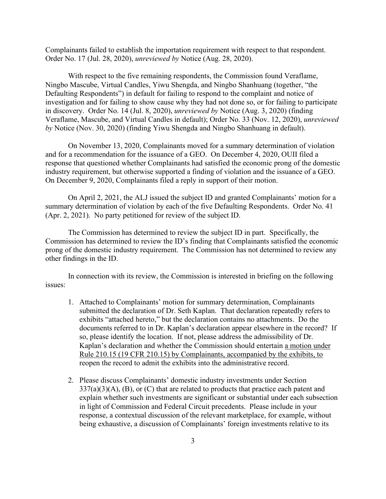Complainants failed to establish the importation requirement with respect to that respondent. Order No. 17 (Jul. 28, 2020), *unreviewed by* Notice (Aug. 28, 2020).

With respect to the five remaining respondents, the Commission found Veraflame, Ningbo Mascube, Virtual Candles, Yiwu Shengda, and Ningbo Shanhuang (together, "the Defaulting Respondents") in default for failing to respond to the complaint and notice of investigation and for failing to show cause why they had not done so, or for failing to participate in discovery. Order No. 14 (Jul. 8, 2020), *unreviewed by* Notice (Aug. 3, 2020) (finding Veraflame, Mascube, and Virtual Candles in default); Order No. 33 (Nov. 12, 2020), *unreviewed by* Notice (Nov. 30, 2020) (finding Yiwu Shengda and Ningbo Shanhuang in default).

On November 13, 2020, Complainants moved for a summary determination of violation and for a recommendation for the issuance of a GEO. On December 4, 2020, OUII filed a response that questioned whether Complainants had satisfied the economic prong of the domestic industry requirement, but otherwise supported a finding of violation and the issuance of a GEO. On December 9, 2020, Complainants filed a reply in support of their motion.

On April 2, 2021, the ALJ issued the subject ID and granted Complainants' motion for a summary determination of violation by each of the five Defaulting Respondents. Order No. 41 (Apr. 2, 2021). No party petitioned for review of the subject ID.

The Commission has determined to review the subject ID in part. Specifically, the Commission has determined to review the ID's finding that Complainants satisfied the economic prong of the domestic industry requirement. The Commission has not determined to review any other findings in the ID.

In connection with its review, the Commission is interested in briefing on the following issues:

- 1. Attached to Complainants' motion for summary determination, Complainants submitted the declaration of Dr. Seth Kaplan. That declaration repeatedly refers to exhibits "attached hereto," but the declaration contains no attachments. Do the documents referred to in Dr. Kaplan's declaration appear elsewhere in the record? If so, please identify the location. If not, please address the admissibility of Dr. Kaplan's declaration and whether the Commission should entertain a motion under Rule 210.15 (19 CFR 210.15) by Complainants, accompanied by the exhibits, to reopen the record to admit the exhibits into the administrative record.
- 2. Please discuss Complainants' domestic industry investments under Section  $337(a)(3)(A)$ , (B), or (C) that are related to products that practice each patent and explain whether such investments are significant or substantial under each subsection in light of Commission and Federal Circuit precedents. Please include in your response, a contextual discussion of the relevant marketplace, for example, without being exhaustive, a discussion of Complainants' foreign investments relative to its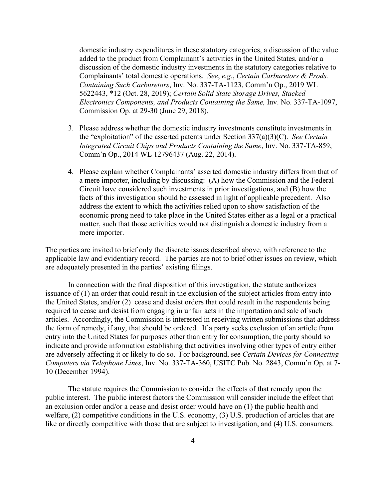domestic industry expenditures in these statutory categories, a discussion of the value added to the product from Complainant's activities in the United States, and/or a discussion of the domestic industry investments in the statutory categories relative to Complainants' total domestic operations. *See*, *e.g.*, *Certain Carburetors & Prods. Containing Such Carburetors*, Inv. No. 337-TA-1123, Comm'n Op., 2019 WL 5622443, \*12 (Oct. 28, 2019); *Certain Solid State Storage Drives, Stacked Electronics Components, and Products Containing the Same,* Inv. No. 337-TA-1097, Commission Op. at 29-30 (June 29, 2018).

- 3. Please address whether the domestic industry investments constitute investments in the "exploitation" of the asserted patents under Section 337(a)(3)(C). *See Certain Integrated Circuit Chips and Products Containing the Same*, Inv. No. 337-TA-859, Comm'n Op., 2014 WL 12796437 (Aug. 22, 2014).
- 4. Please explain whether Complainants' asserted domestic industry differs from that of a mere importer, including by discussing: (A) how the Commission and the Federal Circuit have considered such investments in prior investigations, and (B) how the facts of this investigation should be assessed in light of applicable precedent. Also address the extent to which the activities relied upon to show satisfaction of the economic prong need to take place in the United States either as a legal or a practical matter, such that those activities would not distinguish a domestic industry from a mere importer.

The parties are invited to brief only the discrete issues described above, with reference to the applicable law and evidentiary record. The parties are not to brief other issues on review, which are adequately presented in the parties' existing filings.

In connection with the final disposition of this investigation, the statute authorizes issuance of (1) an order that could result in the exclusion of the subject articles from entry into the United States, and/or (2) cease and desist orders that could result in the respondents being required to cease and desist from engaging in unfair acts in the importation and sale of such articles. Accordingly, the Commission is interested in receiving written submissions that address the form of remedy, if any, that should be ordered. If a party seeks exclusion of an article from entry into the United States for purposes other than entry for consumption, the party should so indicate and provide information establishing that activities involving other types of entry either are adversely affecting it or likely to do so. For background, see *Certain Devices for Connecting Computers via Telephone Lines*, Inv. No. 337-TA-360, USITC Pub. No. 2843, Comm'n Op. at 7- 10 (December 1994).

The statute requires the Commission to consider the effects of that remedy upon the public interest. The public interest factors the Commission will consider include the effect that an exclusion order and/or a cease and desist order would have on (1) the public health and welfare, (2) competitive conditions in the U.S. economy, (3) U.S. production of articles that are like or directly competitive with those that are subject to investigation, and (4) U.S. consumers.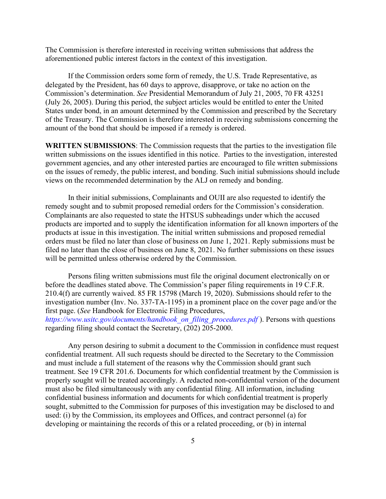The Commission is therefore interested in receiving written submissions that address the aforementioned public interest factors in the context of this investigation.

If the Commission orders some form of remedy, the U.S. Trade Representative, as delegated by the President, has 60 days to approve, disapprove, or take no action on the Commission's determination. *See* Presidential Memorandum of July 21, 2005, 70 FR 43251 (July 26, 2005). During this period, the subject articles would be entitled to enter the United States under bond, in an amount determined by the Commission and prescribed by the Secretary of the Treasury. The Commission is therefore interested in receiving submissions concerning the amount of the bond that should be imposed if a remedy is ordered.

**WRITTEN SUBMISSIONS**: The Commission requests that the parties to the investigation file written submissions on the issues identified in this notice. Parties to the investigation, interested government agencies, and any other interested parties are encouraged to file written submissions on the issues of remedy, the public interest, and bonding. Such initial submissions should include views on the recommended determination by the ALJ on remedy and bonding.

In their initial submissions, Complainants and OUII are also requested to identify the remedy sought and to submit proposed remedial orders for the Commission's consideration. Complainants are also requested to state the HTSUS subheadings under which the accused products are imported and to supply the identification information for all known importers of the products at issue in this investigation. The initial written submissions and proposed remedial orders must be filed no later than close of business on June 1, 2021. Reply submissions must be filed no later than the close of business on June 8, 2021. No further submissions on these issues will be permitted unless otherwise ordered by the Commission.

Persons filing written submissions must file the original document electronically on or before the deadlines stated above. The Commission's paper filing requirements in 19 C.F.R. 210.4(f) are currently waived. 85 FR 15798 (March 19, 2020). Submissions should refer to the investigation number (Inv. No. 337-TA-1195) in a prominent place on the cover page and/or the first page. (*See* Handbook for Electronic Filing Procedures, *https://www.usitc.gov/documents/handbook\_on\_filing\_procedures.pdf* ). Persons with questions regarding filing should contact the Secretary, (202) 205-2000.

Any person desiring to submit a document to the Commission in confidence must request confidential treatment. All such requests should be directed to the Secretary to the Commission and must include a full statement of the reasons why the Commission should grant such treatment. See 19 CFR 201.6. Documents for which confidential treatment by the Commission is properly sought will be treated accordingly. A redacted non-confidential version of the document must also be filed simultaneously with any confidential filing. All information, including confidential business information and documents for which confidential treatment is properly sought, submitted to the Commission for purposes of this investigation may be disclosed to and used: (i) by the Commission, its employees and Offices, and contract personnel (a) for developing or maintaining the records of this or a related proceeding, or (b) in internal